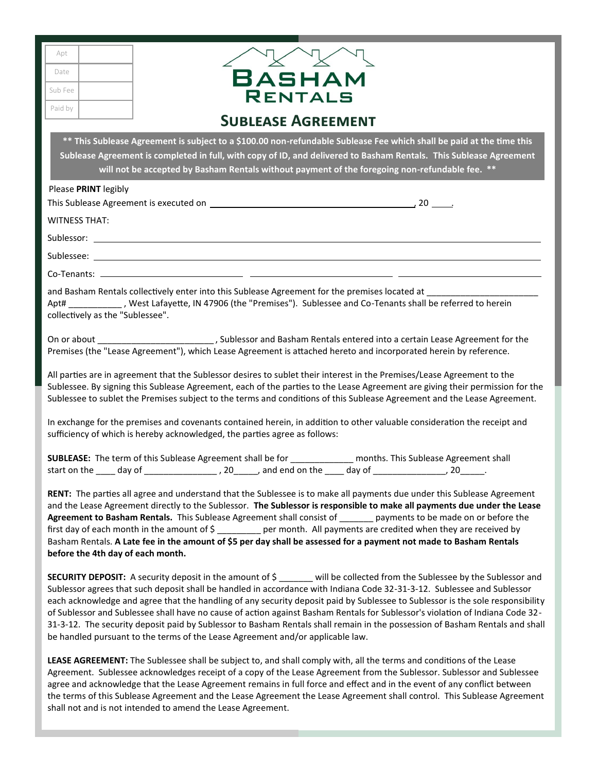| Apt     |  |
|---------|--|
| Date    |  |
| Sub Fee |  |
| Paid by |  |
|         |  |



## **Sublease Agreement**

**\*\* This Sublease Agreement is subject to a \$100.00 non-refundable Sublease Fee which shall be paid at the time this Sublease Agreement is completed in full, with copy of ID, and delivered to Basham Rentals. This Sublease Agreement will not be accepted by Basham Rentals without payment of the foregoing non-refundable fee. \*\*** 

| Please PRINT legibly |  |
|----------------------|--|
|----------------------|--|

This Sublease Agreement is executed on  $\overline{\phantom{a}}$  20  $\overline{\phantom{a}}$  20  $\overline{\phantom{a}}$  20  $\overline{\phantom{a}}$  20  $\overline{\phantom{a}}$  30  $\overline{\phantom{a}}$  30  $\overline{\phantom{a}}$  30  $\overline{\phantom{a}}$  30  $\overline{\phantom{a}}$  30  $\overline{\phantom{a}}$  30  $\overline{\phantom{a}}$  30  $\overline{\phantom{a}}$  30  $\over$ 

WITNESS THAT:

Sublessor: \_\_

Sublessee:

Co-Tenants:

and Basham Rentals collectively enter into this Sublease Agreement for the premises located at \_\_\_\_\_\_\_\_\_\_\_\_\_\_\_\_\_\_\_\_\_\_\_ Apt# \_\_\_\_\_\_\_\_\_\_\_ , West Lafayette, IN 47906 (the "Premises"). Sublessee and Co-Tenants shall be referred to herein collectively as the "Sublessee".

On or about \_\_\_\_\_\_\_\_\_\_\_\_\_\_\_\_\_\_\_\_\_\_\_\_\_\_\_\_\_\_, Sublessor and Basham Rentals entered into a certain Lease Agreement for the Premises (the "Lease Agreement"), which Lease Agreement is attached hereto and incorporated herein by reference.

All parties are in agreement that the Sublessor desires to sublet their interest in the Premises/Lease Agreement to the Sublessee. By signing this Sublease Agreement, each of the parties to the Lease Agreement are giving their permission for the Sublessee to sublet the Premises subject to the terms and conditions of this Sublease Agreement and the Lease Agreement.

In exchange for the premises and covenants contained herein, in addition to other valuable consideration the receipt and sufficiency of which is hereby acknowledged, the parties agree as follows:

|              |        | <b>SUBLEASE:</b> The term of this Sublease Agreement shall be for |                       | months. This Sublease Agreement shall |
|--------------|--------|-------------------------------------------------------------------|-----------------------|---------------------------------------|
| start on the | dav of | 20                                                                | and end on the day of | -20                                   |

**RENT:** The parties all agree and understand that the Sublessee is to make all payments due under this Sublease Agreement and the Lease Agreement directly to the Sublessor. **The Sublessor is responsible to make all payments due under the Lease Agreement to Basham Rentals.** This Sublease Agreement shall consist of \_\_\_\_\_\_\_ payments to be made on or before the first day of each month in the amount of \$ \_\_\_\_\_\_\_\_\_ per month. All payments are credited when they are received by Basham Rentals. **A Late fee in the amount of \$5 per day shall be assessed for a payment not made to Basham Rentals before the 4th day of each month.**

**SECURITY DEPOSIT:** A security deposit in the amount of \$ \_\_\_\_\_\_\_ will be collected from the Sublessee by the Sublessor and Sublessor agrees that such deposit shall be handled in accordance with Indiana Code 32-31-3-12. Sublessee and Sublessor each acknowledge and agree that the handling of any security deposit paid by Sublessee to Sublessor is the sole responsibility of Sublessor and Sublessee shall have no cause of action against Basham Rentals for Sublessor's violation of Indiana Code 32- 31-3-12. The security deposit paid by Sublessor to Basham Rentals shall remain in the possession of Basham Rentals and shall be handled pursuant to the terms of the Lease Agreement and/or applicable law.

**LEASE AGREEMENT:** The Sublessee shall be subject to, and shall comply with, all the terms and conditions of the Lease Agreement. Sublessee acknowledges receipt of a copy of the Lease Agreement from the Sublessor. Sublessor and Sublessee agree and acknowledge that the Lease Agreement remains in full force and effect and in the event of any conflict between the terms of this Sublease Agreement and the Lease Agreement the Lease Agreement shall control. This Sublease Agreement shall not and is not intended to amend the Lease Agreement.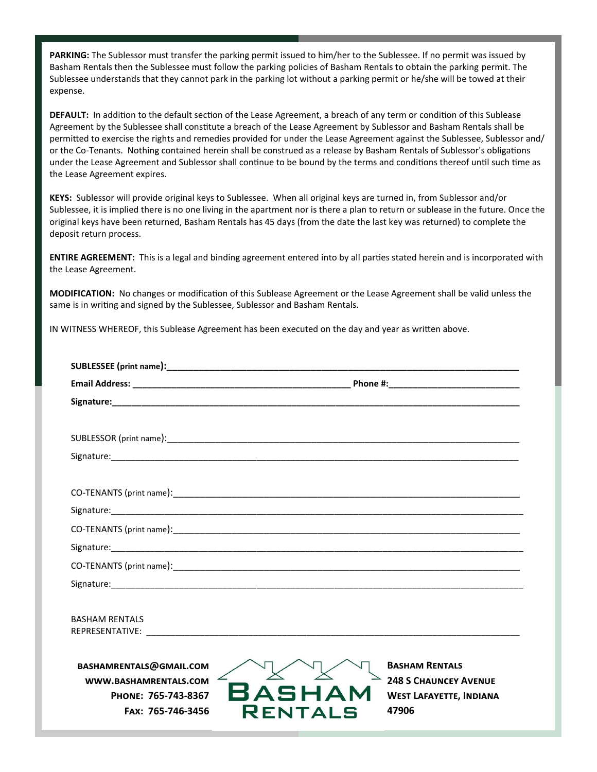**PARKING:** The Sublessor must transfer the parking permit issued to him/her to the Sublessee. If no permit was issued by Basham Rentals then the Sublessee must follow the parking policies of Basham Rentals to obtain the parking permit. The Sublessee understands that they cannot park in the parking lot without a parking permit or he/she will be towed at their expense.

**DEFAULT:** In addition to the default section of the Lease Agreement, a breach of any term or condition of this Sublease Agreement by the Sublessee shall constitute a breach of the Lease Agreement by Sublessor and Basham Rentals shall be permitted to exercise the rights and remedies provided for under the Lease Agreement against the Sublessee, Sublessor and/ or the Co-Tenants. Nothing contained herein shall be construed as a release by Basham Rentals of Sublessor's obligations under the Lease Agreement and Sublessor shall continue to be bound by the terms and conditions thereof until such time as the Lease Agreement expires.

**KEYS:** Sublessor will provide original keys to Sublessee. When all original keys are turned in, from Sublessor and/or Sublessee, it is implied there is no one living in the apartment nor is there a plan to return or sublease in the future. Once the original keys have been returned, Basham Rentals has 45 days (from the date the last key was returned) to complete the deposit return process.

**ENTIRE AGREEMENT:** This is a legal and binding agreement entered into by all parties stated herein and is incorporated with the Lease Agreement.

**MODIFICATION:** No changes or modification of this Sublease Agreement or the Lease Agreement shall be valid unless the same is in writing and signed by the Sublessee, Sublessor and Basham Rentals.

IN WITNESS WHEREOF, this Sublease Agreement has been executed on the day and year as written above.

| <b>BASHAM RENTALS</b>                                                                                                    |                                                                                                  |  |  |  |
|--------------------------------------------------------------------------------------------------------------------------|--------------------------------------------------------------------------------------------------|--|--|--|
|                                                                                                                          |                                                                                                  |  |  |  |
| BASHAMRENTALS@GMAIL.COM<br>WWW.BASHAMRENTALS.COM<br>BASHAM<br>PHONE: 765-743-8367<br>FAX: 765-746-3456<br><b>RENTALS</b> | <b>BASHAM RENTALS</b><br><b>248 S CHAUNCEY AVENUE</b><br><b>WEST LAFAYETTE, INDIANA</b><br>47906 |  |  |  |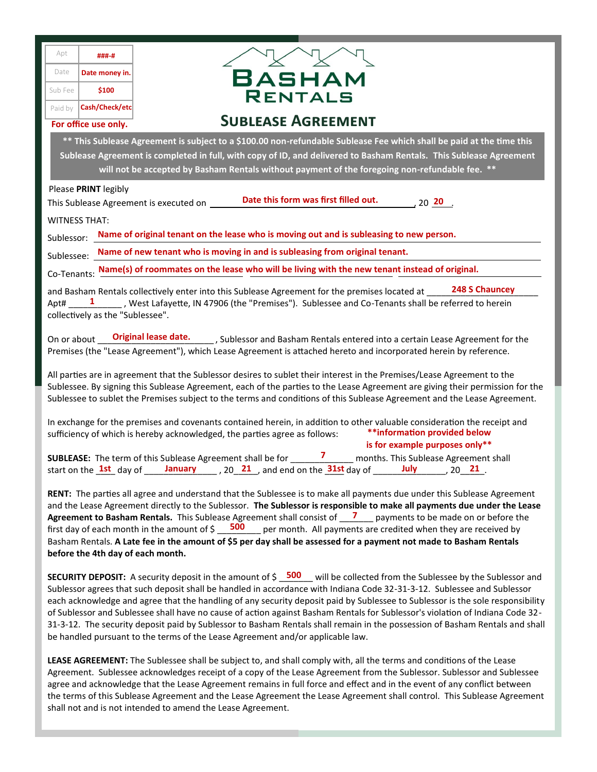|                                                                                                                                                                                                                                                                                                                                                                                                                                                                                                                                                                                                                                                                       | Apt<br>Date                                                                                                                                                                                                                                                                                                                                                                                                                                                                                                                                                                                                                                                                                                                                              | ###-#<br>Date money in. |                                                                                                           |  |
|-----------------------------------------------------------------------------------------------------------------------------------------------------------------------------------------------------------------------------------------------------------------------------------------------------------------------------------------------------------------------------------------------------------------------------------------------------------------------------------------------------------------------------------------------------------------------------------------------------------------------------------------------------------------------|----------------------------------------------------------------------------------------------------------------------------------------------------------------------------------------------------------------------------------------------------------------------------------------------------------------------------------------------------------------------------------------------------------------------------------------------------------------------------------------------------------------------------------------------------------------------------------------------------------------------------------------------------------------------------------------------------------------------------------------------------------|-------------------------|-----------------------------------------------------------------------------------------------------------|--|
|                                                                                                                                                                                                                                                                                                                                                                                                                                                                                                                                                                                                                                                                       | Sub Fee                                                                                                                                                                                                                                                                                                                                                                                                                                                                                                                                                                                                                                                                                                                                                  | \$100                   | BASHAM<br><b>RENTALS</b>                                                                                  |  |
|                                                                                                                                                                                                                                                                                                                                                                                                                                                                                                                                                                                                                                                                       | Paid by                                                                                                                                                                                                                                                                                                                                                                                                                                                                                                                                                                                                                                                                                                                                                  | Cash/Check/etc          |                                                                                                           |  |
|                                                                                                                                                                                                                                                                                                                                                                                                                                                                                                                                                                                                                                                                       |                                                                                                                                                                                                                                                                                                                                                                                                                                                                                                                                                                                                                                                                                                                                                          | For office use only.    | <b>SUBLEASE AGREEMENT</b>                                                                                 |  |
| ** This Sublease Agreement is subject to a \$100.00 non-refundable Sublease Fee which shall be paid at the time this<br>Sublease Agreement is completed in full, with copy of ID, and delivered to Basham Rentals. This Sublease Agreement<br>will not be accepted by Basham Rentals without payment of the foregoing non-refundable fee. **                                                                                                                                                                                                                                                                                                                          |                                                                                                                                                                                                                                                                                                                                                                                                                                                                                                                                                                                                                                                                                                                                                          |                         |                                                                                                           |  |
|                                                                                                                                                                                                                                                                                                                                                                                                                                                                                                                                                                                                                                                                       |                                                                                                                                                                                                                                                                                                                                                                                                                                                                                                                                                                                                                                                                                                                                                          | Please PRINT legibly    |                                                                                                           |  |
|                                                                                                                                                                                                                                                                                                                                                                                                                                                                                                                                                                                                                                                                       |                                                                                                                                                                                                                                                                                                                                                                                                                                                                                                                                                                                                                                                                                                                                                          |                         | Date this form was first filled out.<br>, 20 $\frac{20}{1}$ .<br>This Sublease Agreement is executed on   |  |
|                                                                                                                                                                                                                                                                                                                                                                                                                                                                                                                                                                                                                                                                       |                                                                                                                                                                                                                                                                                                                                                                                                                                                                                                                                                                                                                                                                                                                                                          | <b>WITNESS THAT:</b>    |                                                                                                           |  |
|                                                                                                                                                                                                                                                                                                                                                                                                                                                                                                                                                                                                                                                                       |                                                                                                                                                                                                                                                                                                                                                                                                                                                                                                                                                                                                                                                                                                                                                          |                         | Sublessor: Name of original tenant on the lease who is moving out and is subleasing to new person.        |  |
|                                                                                                                                                                                                                                                                                                                                                                                                                                                                                                                                                                                                                                                                       |                                                                                                                                                                                                                                                                                                                                                                                                                                                                                                                                                                                                                                                                                                                                                          |                         | Sublessee: Name of new tenant who is moving in and is subleasing from original tenant.                    |  |
|                                                                                                                                                                                                                                                                                                                                                                                                                                                                                                                                                                                                                                                                       |                                                                                                                                                                                                                                                                                                                                                                                                                                                                                                                                                                                                                                                                                                                                                          |                         | Co-Tenants: Name(s) of roommates on the lease who will be living with the new tenant instead of original. |  |
| 248 S Chauncey<br>and Basham Rentals collectively enter into this Sublease Agreement for the premises located at ____<br>Apt# _____1 _______, West Lafayette, IN 47906 (the "Premises"). Sublessee and Co-Tenants shall be referred to herein<br>collectively as the "Sublessee".                                                                                                                                                                                                                                                                                                                                                                                     |                                                                                                                                                                                                                                                                                                                                                                                                                                                                                                                                                                                                                                                                                                                                                          |                         |                                                                                                           |  |
| <b>Original lease date.</b> ____, Sublessor and Basham Rentals entered into a certain Lease Agreement for the<br>On or about<br>Premises (the "Lease Agreement"), which Lease Agreement is attached hereto and incorporated herein by reference.                                                                                                                                                                                                                                                                                                                                                                                                                      |                                                                                                                                                                                                                                                                                                                                                                                                                                                                                                                                                                                                                                                                                                                                                          |                         |                                                                                                           |  |
| All parties are in agreement that the Sublessor desires to sublet their interest in the Premises/Lease Agreement to the<br>Sublessee. By signing this Sublease Agreement, each of the parties to the Lease Agreement are giving their permission for the<br>Sublessee to sublet the Premises subject to the terms and conditions of this Sublease Agreement and the Lease Agreement.                                                                                                                                                                                                                                                                                  |                                                                                                                                                                                                                                                                                                                                                                                                                                                                                                                                                                                                                                                                                                                                                          |                         |                                                                                                           |  |
| In exchange for the premises and covenants contained herein, in addition to other valuable consideration the receipt and<br>**information provided below<br>sufficiency of which is hereby acknowledged, the parties agree as follows:<br>is for example purposes only**                                                                                                                                                                                                                                                                                                                                                                                              |                                                                                                                                                                                                                                                                                                                                                                                                                                                                                                                                                                                                                                                                                                                                                          |                         |                                                                                                           |  |
|                                                                                                                                                                                                                                                                                                                                                                                                                                                                                                                                                                                                                                                                       | <b>SUBLEASE:</b> The term of this Sublease Agreement shall be for $\frac{7}{2}$ months. This Sublease Agreemen start on the $\frac{1st}{2}$ day of $\frac{1anuary}{2}$ , 20 $\frac{21}{2}$ , and end on the $\frac{31st}{2}$ day of $\frac{1uly}{20}$ , 20 $\frac{21}{2}$<br>months. This Sublease Agreement shall                                                                                                                                                                                                                                                                                                                                                                                                                                       |                         |                                                                                                           |  |
| RENT: The parties all agree and understand that the Sublessee is to make all payments due under this Sublease Agreement<br>and the Lease Agreement directly to the Sublessor. The Sublessor is responsible to make all payments due under the Lease<br>Agreement to Basham Rentals. This Sublease Agreement shall consist of $\frac{7}{2}$ payments to be made on or before the<br>first day of each month in the amount of $\frac{500}{2}$ per month. All payments are credited when they are received by<br>Basham Rentals. A Late fee in the amount of \$5 per day shall be assessed for a payment not made to Basham Rentals<br>before the 4th day of each month. |                                                                                                                                                                                                                                                                                                                                                                                                                                                                                                                                                                                                                                                                                                                                                          |                         |                                                                                                           |  |
|                                                                                                                                                                                                                                                                                                                                                                                                                                                                                                                                                                                                                                                                       | <b>SECURITY DEPOSIT:</b> A security deposit in the amount of $\frac{1}{2}$ 500 will be collected from the Sublessee by the Sublessor and<br>Sublessor agrees that such deposit shall be handled in accordance with Indiana Code 32-31-3-12. Sublessee and Sublessor<br>each acknowledge and agree that the handling of any security deposit paid by Sublessee to Sublessor is the sole responsibility<br>of Sublessor and Sublessee shall have no cause of action against Basham Rentals for Sublessor's violation of Indiana Code 32-<br>31-3-12. The security deposit paid by Sublessor to Basham Rentals shall remain in the possession of Basham Rentals and shall<br>be handled pursuant to the terms of the Lease Agreement and/or applicable law. |                         |                                                                                                           |  |

**LEASE AGREEMENT:** The Sublessee shall be subject to, and shall comply with, all the terms and conditions of the Lease Agreement. Sublessee acknowledges receipt of a copy of the Lease Agreement from the Sublessor. Sublessor and Sublessee agree and acknowledge that the Lease Agreement remains in full force and effect and in the event of any conflict between the terms of this Sublease Agreement and the Lease Agreement the Lease Agreement shall control. This Sublease Agreement shall not and is not intended to amend the Lease Agreement.